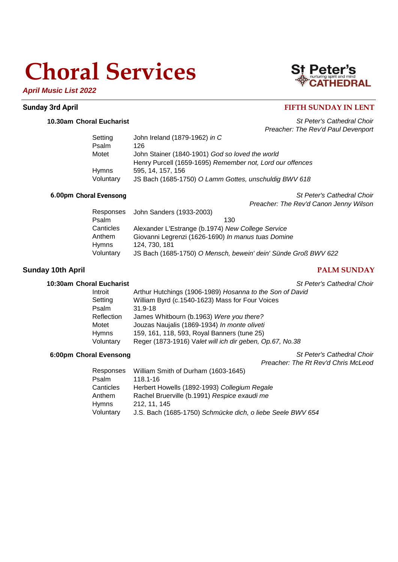## **Choral Services**



## **St Peter's**<br> **CATHEDRAL**

## **Sunday 3rd April FIFTH SUNDAY IN LENT**

**10.30am Choral Eucharist** *St Peter's Cathedral Choir Preacher: The Rev'd Paul Devenport*

| Setting   | John Ireland (1879-1962) in C                             |
|-----------|-----------------------------------------------------------|
| Psalm     | 126                                                       |
| Motet     | John Stainer (1840-1901) God so loved the world           |
|           | Henry Purcell (1659-1695) Remember not, Lord our offences |
| Hymns     | 595, 14, 157, 156                                         |
| Voluntary | JS Bach (1685-1750) O Lamm Gottes, unschuldig BWV 618     |

**6.00pm Choral Evensong** *St Peter's Cathedral Choir Preacher: The Rev'd Canon Jenny Wilson*

|           | Responses John Sanders (1933-2003)                             |
|-----------|----------------------------------------------------------------|
| Psalm     | 130                                                            |
| Canticles | Alexander L'Estrange (b.1974) New College Service              |
| Anthem    | Giovanni Legrenzi (1626-1690) In manus tuas Domine             |
| Hymns     | 124, 730, 181                                                  |
| Voluntary | JS Bach (1685-1750) O Mensch, bewein' dein' Sünde Groß BWV 622 |

### **Sunday 10th April PALM SUNDAY**

#### **10:30am Choral Eucharist** *St Peter's Cathedral Choir*

| Introit    | Arthur Hutchings (1906-1989) Hosanna to the Son of David |
|------------|----------------------------------------------------------|
| Setting    | William Byrd (c.1540-1623) Mass for Four Voices          |
| Psalm      | $31.9 - 18$                                              |
| Reflection | James Whitbourn (b.1963) Were you there?                 |
| Motet      | Jouzas Naujalis (1869-1934) In monte oliveti             |
| Hymns      | 159, 161, 118, 593, Royal Banners (tune 25)              |
| Voluntary  | Reger (1873-1916) Valet will ich dir geben, Op.67, No.38 |

**6:00pm Choral Evensong** *St Peter's Cathedral Choir*

*Preacher: The Rt Rev'd Chris McLeod*

| Responses    | William Smith of Durham (1603-1645)                        |
|--------------|------------------------------------------------------------|
| Psalm        | 118.1-16                                                   |
| Canticles    | Herbert Howells (1892-1993) Collegium Regale               |
| Anthem       | Rachel Bruerville (b.1991) Respice exaudi me               |
| <b>Hymns</b> | 212, 11, 145                                               |
| Voluntary    | J.S. Bach (1685-1750) Schmücke dich, o liebe Seele BWV 654 |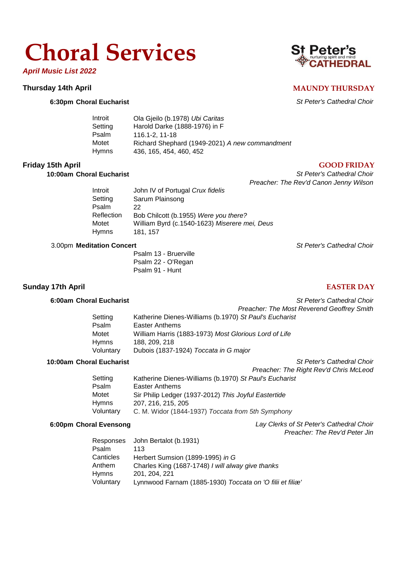## **Choral Services**

*April Music List 2022*

#### **Thursday 14th April MAUNDY THURSDAY**

### **6:30pm Choral Eucharist** *St Peter's Cathedral Choir*

| Introit | Ola Gjeilo (b.1978) Ubi Caritas                |
|---------|------------------------------------------------|
| Setting | Harold Darke (1888-1976) in F                  |
| Psalm   | 116.1-2.11-18                                  |
| Motet   | Richard Shephard (1949-2021) A new commandment |
| Hymns   | 436, 165, 454, 460, 452                        |

### **Friday 15th April GOOD FRIDAY**

### **10:00am Choral Eucharist** *St Peter's Cathedral Choir*

*Preacher: The Rev'd Canon Jenny Wilson*

Introit John IV of Portugal *Crux fidelis* Setting Sarum Plainsong Psalm 22 Reflection Bob Chilcott (b.1955) *Were you there?* Motet William Byrd (c.1540-1623) *Miserere mei, Deus* Hymns 181, 157

#### 3.00pm **Meditation Concert** *St Peter's Cathedral Choir*

Psalm 13 - Bruerville Psalm 22 - O'Regan Psalm 91 - Hunt

## **Sunday 17th April EASTER DAY**

#### **6:00am Choral Eucharist** *St Peter's Cathedral Choir*

|           | <b>Preacher: The Most Reverend Geoffrey Smith</b>      |
|-----------|--------------------------------------------------------|
| Setting   | Katherine Dienes-Williams (b.1970) St Paul's Eucharist |
| Psalm     | Easter Anthems                                         |
| Motet     | William Harris (1883-1973) Most Glorious Lord of Life  |
| Hymns     | 188, 209, 218                                          |
| Voluntary | Dubois (1837-1924) Toccata in G major                  |

## **10:00am Choral Eucharist** *St Peter's Cathedral Choir*

|              | Preacher: The Right Rev'd Chris McLeod                 |
|--------------|--------------------------------------------------------|
| Setting      | Katherine Dienes-Williams (b.1970) St Paul's Eucharist |
| Psalm        | Easter Anthems                                         |
| Motet        | Sir Philip Ledger (1937-2012) This Joyful Eastertide   |
| <b>Hymns</b> | 207, 216, 215, 205                                     |
| Voluntary    | C. M. Widor (1844-1937) Toccata from 5th Symphony      |

## **6:00pm Choral Evensong** *Lay Clerks of St Peter's Cathedral Choir*

|           |                                                   | Preacher: The Rev'd Peter Jin |
|-----------|---------------------------------------------------|-------------------------------|
|           | Responses John Bertalot (b.1931)                  |                               |
| Psalm     | 113                                               |                               |
| Canticles | Herbert Sumsion (1899-1995) in G                  |                               |
| Anthem    | Charles King (1687-1748) I will alway give thanks |                               |
| Hymns     | 201, 204, 221                                     |                               |
| $\cdots$  |                                                   |                               |

Voluntary Lynnwood Farnam (1885-1930) *Toccata on 'O filii et filiæ'* 

## St Peter's **THEDRAL**